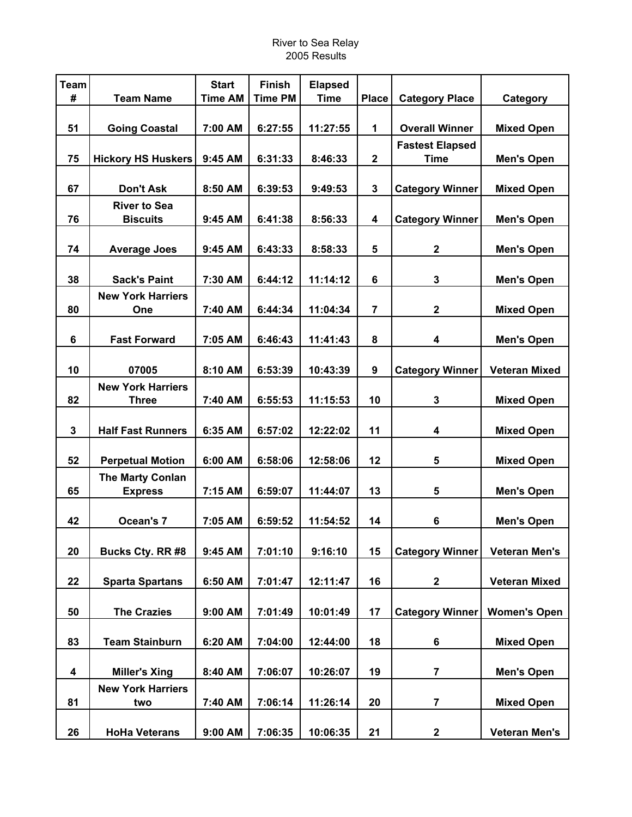| <b>Team</b>             |                                 | <b>Start</b>   | <b>Finish</b>  | <b>Elapsed</b> |                         |                        |                      |
|-------------------------|---------------------------------|----------------|----------------|----------------|-------------------------|------------------------|----------------------|
| #                       | <b>Team Name</b>                | <b>Time AM</b> | <b>Time PM</b> | <b>Time</b>    | <b>Place</b>            | <b>Category Place</b>  | Category             |
| 51                      | <b>Going Coastal</b>            | 7:00 AM        | 6:27:55        | 11:27:55       | 1                       | <b>Overall Winner</b>  | <b>Mixed Open</b>    |
|                         |                                 |                |                |                |                         | <b>Fastest Elapsed</b> |                      |
| 75                      | <b>Hickory HS Huskers</b>       | 9:45 AM        | 6:31:33        | 8:46:33        | $\overline{2}$          | <b>Time</b>            | <b>Men's Open</b>    |
| 67                      | <b>Don't Ask</b>                | 8:50 AM        | 6:39:53        | 9:49:53        | $\mathbf{3}$            | <b>Category Winner</b> | <b>Mixed Open</b>    |
|                         | <b>River to Sea</b>             |                |                |                |                         |                        |                      |
| 76                      | <b>Biscuits</b>                 | 9:45 AM        | 6:41:38        | 8:56:33        | $\overline{\mathbf{4}}$ | <b>Category Winner</b> | <b>Men's Open</b>    |
| 74                      | <b>Average Joes</b>             | 9:45 AM        | 6:43:33        | 8:58:33        | 5                       | $\mathbf 2$            | <b>Men's Open</b>    |
|                         |                                 |                |                |                |                         |                        |                      |
| 38                      | <b>Sack's Paint</b>             | 7:30 AM        | 6:44:12        | 11:14:12       | $6\phantom{1}$          | 3                      | <b>Men's Open</b>    |
| 80                      | <b>New York Harriers</b><br>One | 7:40 AM        | 6:44:34        | 11:04:34       | $\overline{7}$          | $\mathbf 2$            | <b>Mixed Open</b>    |
|                         |                                 |                |                |                |                         |                        |                      |
| $6\phantom{1}$          | <b>Fast Forward</b>             | 7:05 AM        | 6:46:43        | 11:41:43       | 8                       | 4                      | <b>Men's Open</b>    |
|                         |                                 |                |                |                |                         |                        |                      |
| 10                      | 07005                           | 8:10 AM        | 6:53:39        | 10:43:39       | $\boldsymbol{9}$        | <b>Category Winner</b> | <b>Veteran Mixed</b> |
|                         | <b>New York Harriers</b>        |                |                |                |                         |                        |                      |
| 82                      | <b>Three</b>                    | 7:40 AM        | 6:55:53        | 11:15:53       | 10                      | $\mathbf{3}$           | <b>Mixed Open</b>    |
| 3                       | <b>Half Fast Runners</b>        | 6:35 AM        | 6:57:02        | 12:22:02       | 11                      | 4                      | <b>Mixed Open</b>    |
| 52                      | <b>Perpetual Motion</b>         | 6:00 AM        | 6:58:06        | 12:58:06       | 12                      | 5                      | <b>Mixed Open</b>    |
|                         | <b>The Marty Conlan</b>         |                |                |                |                         |                        |                      |
| 65                      | <b>Express</b>                  | 7:15 AM        | 6:59:07        | 11:44:07       | 13                      | 5                      | <b>Men's Open</b>    |
| 42                      | Ocean's 7                       | 7:05 AM        | 6:59:52        | 11:54:52       | 14                      | 6                      | <b>Men's Open</b>    |
|                         |                                 |                |                |                |                         |                        |                      |
| 20                      | Bucks Cty. RR #8                | 9:45 AM        | 7:01:10        | 9:16:10        | 15                      | <b>Category Winner</b> | <b>Veteran Men's</b> |
|                         |                                 | 6:50 AM        |                |                |                         |                        |                      |
| 22                      | <b>Sparta Spartans</b>          |                | 7:01:47        | 12:11:47       | 16                      | $\mathbf 2$            | <b>Veteran Mixed</b> |
| 50                      | <b>The Crazies</b>              | 9:00 AM        | 7:01:49        | 10:01:49       | 17                      | <b>Category Winner</b> | <b>Women's Open</b>  |
| 83                      | <b>Team Stainburn</b>           | 6:20 AM        | 7:04:00        | 12:44:00       | 18                      | 6                      | <b>Mixed Open</b>    |
|                         |                                 |                |                |                |                         |                        |                      |
| $\overline{\mathbf{4}}$ | <b>Miller's Xing</b>            | 8:40 AM        | 7:06:07        | 10:26:07       | 19                      | 7                      | <b>Men's Open</b>    |
| 81                      | <b>New York Harriers</b><br>two | 7:40 AM        | 7:06:14        | 11:26:14       | 20                      | 7                      | <b>Mixed Open</b>    |
|                         |                                 |                |                |                |                         |                        |                      |
| 26                      | <b>HoHa Veterans</b>            | 9:00 AM        | 7:06:35        | 10:06:35       | 21                      | 2                      | <b>Veteran Men's</b> |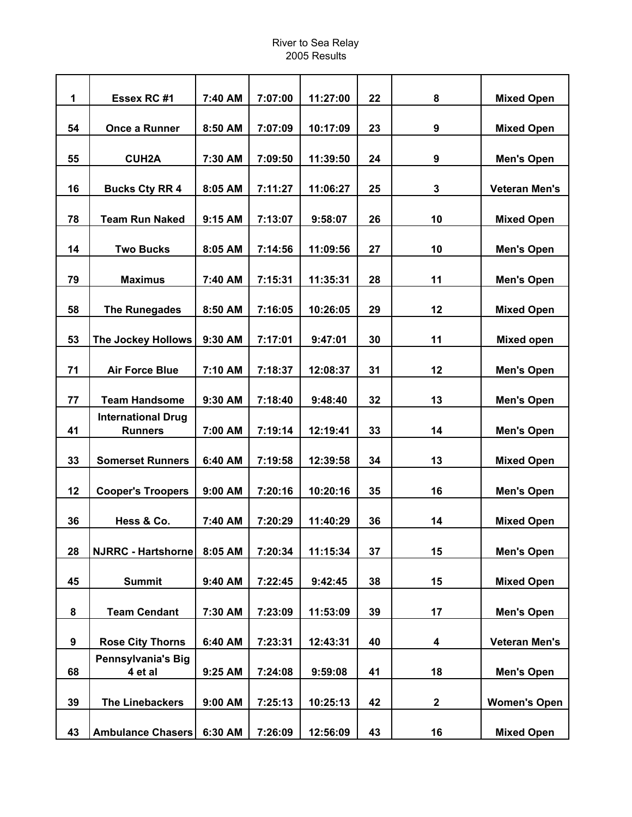| 1  | Essex RC #1                                 | 7:40 AM | 7:07:00 | 11:27:00 | 22 | 8           | <b>Mixed Open</b>    |
|----|---------------------------------------------|---------|---------|----------|----|-------------|----------------------|
| 54 | Once a Runner                               | 8:50 AM | 7:07:09 | 10:17:09 | 23 | 9           | <b>Mixed Open</b>    |
| 55 | <b>CUH2A</b>                                | 7:30 AM | 7:09:50 | 11:39:50 | 24 | 9           | <b>Men's Open</b>    |
| 16 | <b>Bucks Cty RR 4</b>                       | 8:05 AM | 7:11:27 | 11:06:27 | 25 | 3           | <b>Veteran Men's</b> |
|    |                                             |         |         |          |    |             |                      |
| 78 | <b>Team Run Naked</b>                       | 9:15 AM | 7:13:07 | 9:58:07  | 26 | 10          | <b>Mixed Open</b>    |
| 14 | <b>Two Bucks</b>                            | 8:05 AM | 7:14:56 | 11:09:56 | 27 | 10          | <b>Men's Open</b>    |
| 79 | <b>Maximus</b>                              | 7:40 AM | 7:15:31 | 11:35:31 | 28 | 11          | <b>Men's Open</b>    |
| 58 | <b>The Runegades</b>                        | 8:50 AM | 7:16:05 | 10:26:05 | 29 | 12          | <b>Mixed Open</b>    |
| 53 | The Jockey Hollows                          | 9:30 AM | 7:17:01 | 9:47:01  | 30 | 11          | <b>Mixed open</b>    |
| 71 | <b>Air Force Blue</b>                       | 7:10 AM | 7:18:37 | 12:08:37 | 31 | 12          | <b>Men's Open</b>    |
| 77 | <b>Team Handsome</b>                        | 9:30 AM | 7:18:40 | 9:48:40  | 32 | 13          | <b>Men's Open</b>    |
| 41 | <b>International Drug</b><br><b>Runners</b> | 7:00 AM | 7:19:14 | 12:19:41 | 33 | 14          | <b>Men's Open</b>    |
| 33 | <b>Somerset Runners</b>                     | 6:40 AM | 7:19:58 | 12:39:58 | 34 | 13          | <b>Mixed Open</b>    |
| 12 | <b>Cooper's Troopers</b>                    | 9:00 AM | 7:20:16 | 10:20:16 | 35 | 16          | <b>Men's Open</b>    |
| 36 | Hess & Co.                                  | 7:40 AM | 7:20:29 | 11:40:29 | 36 | 14          | <b>Mixed Open</b>    |
| 28 | <b>NJRRC - Hartshorne</b>                   | 8:05 AM | 7:20:34 | 11:15:34 | 37 | 15          | <b>Men's Open</b>    |
| 45 | <b>Summit</b>                               | 9:40 AM | 7:22:45 | 9:42:45  | 38 | 15          | <b>Mixed Open</b>    |
|    |                                             |         |         |          |    |             |                      |
| 8  | <b>Team Cendant</b>                         | 7:30 AM | 7:23:09 | 11:53:09 | 39 | 17          | <b>Men's Open</b>    |
| 9  | <b>Rose City Thorns</b>                     | 6:40 AM | 7:23:31 | 12:43:31 | 40 | 4           | <b>Veteran Men's</b> |
| 68 | <b>Pennsylvania's Big</b><br>4 et al        | 9:25 AM | 7:24:08 | 9:59:08  | 41 | 18          | <b>Men's Open</b>    |
| 39 | <b>The Linebackers</b>                      | 9:00 AM | 7:25:13 | 10:25:13 | 42 | $\mathbf 2$ | <b>Women's Open</b>  |
| 43 | <b>Ambulance Chasers</b>                    | 6:30 AM | 7:26:09 | 12:56:09 | 43 | 16          | <b>Mixed Open</b>    |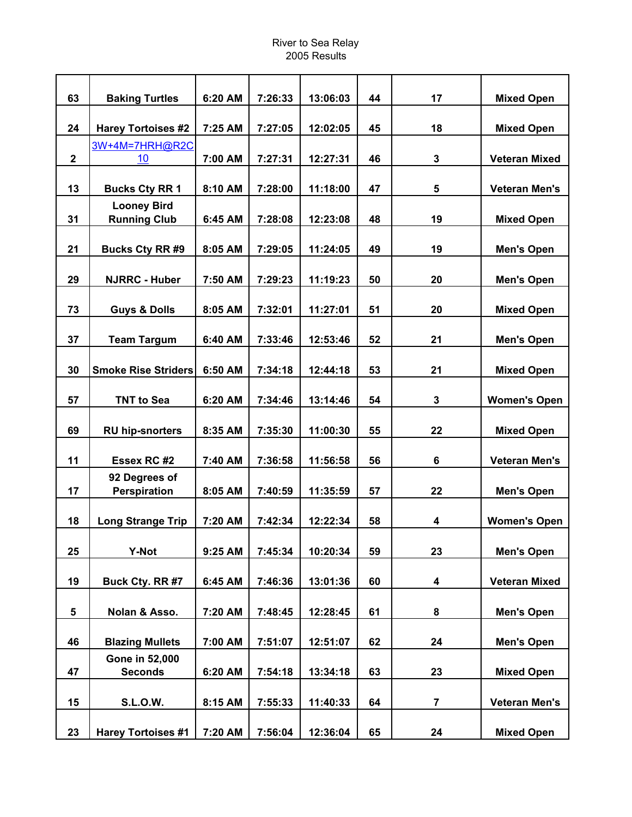| 63                      | <b>Baking Turtles</b>                     | 6:20 AM | 7:26:33 | 13:06:03 | 44 | 17 | <b>Mixed Open</b>    |
|-------------------------|-------------------------------------------|---------|---------|----------|----|----|----------------------|
| 24                      | <b>Harey Tortoises #2</b>                 | 7:25 AM | 7:27:05 | 12:02:05 | 45 | 18 | <b>Mixed Open</b>    |
| $\mathbf 2$             | 3W+4M=7HRH@R2C<br>10                      | 7:00 AM | 7:27:31 | 12:27:31 | 46 | 3  | <b>Veteran Mixed</b> |
| 13                      | <b>Bucks Cty RR 1</b>                     | 8:10 AM | 7:28:00 | 11:18:00 | 47 | 5  | <b>Veteran Men's</b> |
| 31                      | <b>Looney Bird</b><br><b>Running Club</b> | 6:45 AM | 7:28:08 | 12:23:08 | 48 | 19 | <b>Mixed Open</b>    |
| 21                      | <b>Bucks Cty RR#9</b>                     | 8:05 AM | 7:29:05 | 11:24:05 | 49 | 19 | <b>Men's Open</b>    |
| 29                      | <b>NJRRC - Huber</b>                      | 7:50 AM | 7:29:23 | 11:19:23 | 50 | 20 | <b>Men's Open</b>    |
| 73                      | <b>Guys &amp; Dolls</b>                   | 8:05 AM | 7:32:01 | 11:27:01 | 51 | 20 | <b>Mixed Open</b>    |
| 37                      | <b>Team Targum</b>                        | 6:40 AM | 7:33:46 | 12:53:46 | 52 | 21 | <b>Men's Open</b>    |
| 30                      | <b>Smoke Rise Striders</b>                | 6:50 AM | 7:34:18 | 12:44:18 | 53 | 21 | <b>Mixed Open</b>    |
| 57                      | <b>TNT to Sea</b>                         | 6:20 AM | 7:34:46 | 13:14:46 | 54 | 3  | <b>Women's Open</b>  |
| 69                      | <b>RU hip-snorters</b>                    | 8:35 AM | 7:35:30 | 11:00:30 | 55 | 22 | <b>Mixed Open</b>    |
| 11                      | Essex RC #2                               | 7:40 AM | 7:36:58 | 11:56:58 | 56 | 6  | <b>Veteran Men's</b> |
| 17                      | 92 Degrees of<br><b>Perspiration</b>      | 8:05 AM | 7:40:59 | 11:35:59 | 57 | 22 | <b>Men's Open</b>    |
| 18                      | <b>Long Strange Trip</b>                  | 7:20 AM | 7:42:34 | 12:22:34 | 58 | 4  | <b>Women's Open</b>  |
| 25                      | <b>Y-Not</b>                              | 9:25 AM | 7:45:34 | 10:20:34 | 59 | 23 | <b>Men's Open</b>    |
| 19                      | Buck Cty. RR #7                           | 6:45 AM | 7:46:36 | 13:01:36 | 60 | 4  | <b>Veteran Mixed</b> |
| $\overline{\mathbf{5}}$ | Nolan & Asso.                             | 7:20 AM | 7:48:45 | 12:28:45 | 61 | 8  | <b>Men's Open</b>    |
| 46                      | <b>Blazing Mullets</b>                    | 7:00 AM | 7:51:07 | 12:51:07 | 62 | 24 | <b>Men's Open</b>    |
| 47                      | Gone in 52,000<br><b>Seconds</b>          | 6:20 AM | 7:54:18 | 13:34:18 | 63 | 23 | <b>Mixed Open</b>    |
| 15                      | <b>S.L.O.W.</b>                           | 8:15 AM | 7:55:33 | 11:40:33 | 64 | 7  | <b>Veteran Men's</b> |
| 23                      | <b>Harey Tortoises #1</b>                 | 7:20 AM | 7:56:04 | 12:36:04 | 65 | 24 | <b>Mixed Open</b>    |